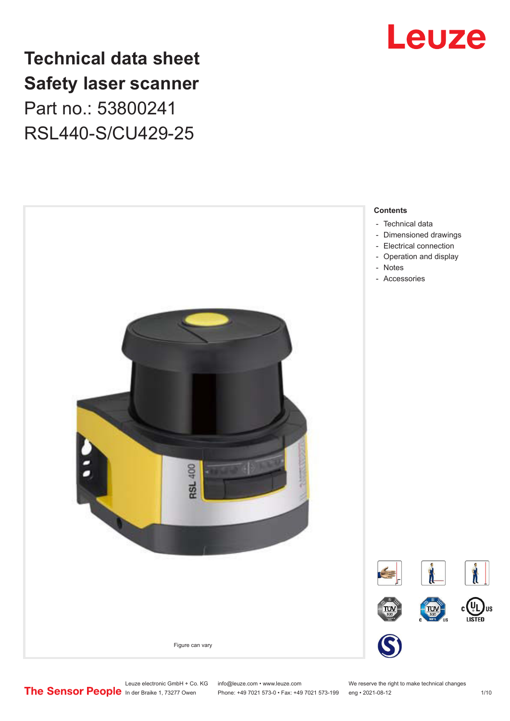

# **Technical data sheet Safety laser scanner** Part no.: 53800241 RSL440-S/CU429-25



Leuze electronic GmbH + Co. KG info@leuze.com • www.leuze.com We reserve the right to make technical changes<br>
The Sensor People in der Braike 1, 73277 Owen Phone: +49 7021 573-0 • Fax: +49 7021 573-199 eng • 2021-08-12

Phone: +49 7021 573-0 • Fax: +49 7021 573-199 eng • 2021-08-12 1 /10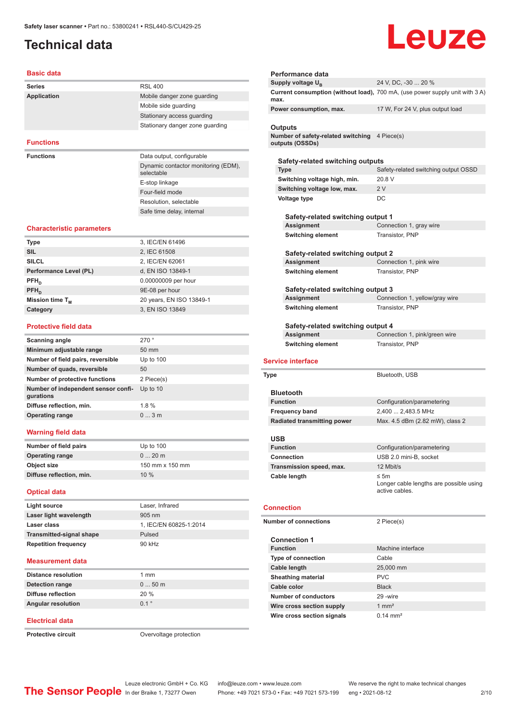# <span id="page-1-0"></span>**Technical data**

# Leuze

### **Basic data**

| <b>Series</b>    | <b>RSL 400</b>                                    |
|------------------|---------------------------------------------------|
| Application      | Mobile danger zone guarding                       |
|                  | Mobile side guarding                              |
|                  | Stationary access quarding                        |
|                  | Stationary danger zone quarding                   |
|                  |                                                   |
| <b>Functions</b> |                                                   |
| <b>Functions</b> | Data output, configurable                         |
|                  | Dynamic contactor monitoring (EDM),<br>selectable |
|                  | E-stop linkage                                    |
|                  | Four-field mode                                   |
|                  |                                                   |

Resolution, selectable Safe time delay, internal

### **Characteristic parameters**

| <b>Type</b>            | 3, IEC/EN 61496          |
|------------------------|--------------------------|
| <b>SIL</b>             | 2, IEC 61508             |
| <b>SILCL</b>           | 2, IEC/EN 62061          |
| Performance Level (PL) | d, EN ISO 13849-1        |
| $PFH_{n}$              | 0.00000009 per hour      |
| $PFH_n$                | 9E-08 per hour           |
| Mission time $T_{M}$   | 20 years, EN ISO 13849-1 |
| Category               | 3, EN ISO 13849          |
|                        |                          |

### **Protective field data**

| Scanning angle                                   | 270°            |
|--------------------------------------------------|-----------------|
| Minimum adjustable range                         | $50 \text{ mm}$ |
| Number of field pairs, reversible                | Up to $100$     |
| Number of quads, reversible                      | 50              |
| Number of protective functions                   | 2 Piece(s)      |
| Number of independent sensor confi-<br>gurations | Up to 10        |
| Diffuse reflection, min.                         | 1.8%            |
| <b>Operating range</b>                           | $0 \dots 3$ m   |
|                                                  |                 |

### **Warning field data**

| Number of field pairs    | Up to $100$     |
|--------------------------|-----------------|
| <b>Operating range</b>   | $020$ m         |
| Object size              | 150 mm x 150 mm |
| Diffuse reflection, min. | 10%             |

### **Optical data**

| Light source                    | Laser, Infrared        |
|---------------------------------|------------------------|
| Laser light wavelength          | $905 \text{ nm}$       |
| Laser class                     | 1, IEC/EN 60825-1:2014 |
| <b>Transmitted-signal shape</b> | Pulsed                 |
| <b>Repetition frequency</b>     | 90 kHz                 |
|                                 |                        |

### **Measurement data**

| Distance resolution       | 1 mm    |
|---------------------------|---------|
| Detection range           | $050$ m |
| <b>Diffuse reflection</b> | 20%     |
| <b>Angular resolution</b> | 01°     |
|                           |         |

### **Electrical data**

**Protective circuit COVER 1999** Overvoltage protection

| Performance data                                      |                                                                              |
|-------------------------------------------------------|------------------------------------------------------------------------------|
| Supply voltage U <sub>B</sub>                         | 24 V, DC, -30  20 %                                                          |
| max.                                                  | Current consumption (without load), 700 mA, (use power supply unit with 3 A) |
| Power consumption, max.                               | 17 W, For 24 V, plus output load                                             |
| Outputs                                               |                                                                              |
| Number of safety-related switching<br>outputs (OSSDs) | 4 Piece(s)                                                                   |
| Safety-related switching outputs                      |                                                                              |
| <b>Type</b>                                           | Safety-related switching output OSSD                                         |
| Switching voltage high, min.                          | 20.8 V                                                                       |
| Switching voltage low, max.                           | 2V                                                                           |
| Voltage type                                          | DC                                                                           |
| Safety-related switching output 1                     |                                                                              |
| Assignment                                            | Connection 1, gray wire                                                      |
| <b>Switching element</b>                              | Transistor, PNP                                                              |
| Safety-related switching output 2                     |                                                                              |
| Assignment                                            | Connection 1, pink wire                                                      |
| <b>Switching element</b>                              | Transistor, PNP                                                              |
| Safety-related switching output 3                     |                                                                              |
| <b>Assignment</b>                                     | Connection 1, yellow/gray wire                                               |
| <b>Switching element</b>                              | Transistor, PNP                                                              |
|                                                       |                                                                              |
| Safety-related switching output 4                     |                                                                              |
| Assignment<br><b>Switching element</b>                | Connection 1, pink/green wire<br>Transistor, PNP                             |
| <b>Service interface</b>                              |                                                                              |
| Type                                                  | Bluetooth, USB                                                               |
| <b>Bluetooth</b>                                      |                                                                              |
| <b>Function</b>                                       | Configuration/parametering                                                   |
| <b>Frequency band</b>                                 | 2,400  2,483.5 MHz                                                           |
| <b>Radiated transmitting power</b>                    | Max. 4.5 dBm (2.82 mW), class 2                                              |
| USB                                                   |                                                                              |
| Function                                              | Configuration/parametering                                                   |
| <b>Connection</b>                                     | USB 2.0 mini-B, socket                                                       |
| Transmission speed, max.                              | 12 Mbit/s                                                                    |
| Cable length                                          | ≤ 5 $m$<br>active cables.                                                    |
| <b>Connection</b>                                     |                                                                              |
| <b>Number of connections</b>                          | 2 Piece(s)                                                                   |
| <b>Connection 1</b><br><b>Function</b>                | Machine interface                                                            |
| <b>Type of connection</b>                             | Cable                                                                        |
| <b>Cable length</b>                                   | 25,000 mm                                                                    |
| <b>Sheathing material</b>                             | Longer cable lengths are possible using<br><b>PVC</b>                        |
| Cable color                                           | <b>Black</b>                                                                 |
| <b>Number of conductors</b>                           | 29 - wire                                                                    |
| Wire cross section supply                             | 1 $mm2$                                                                      |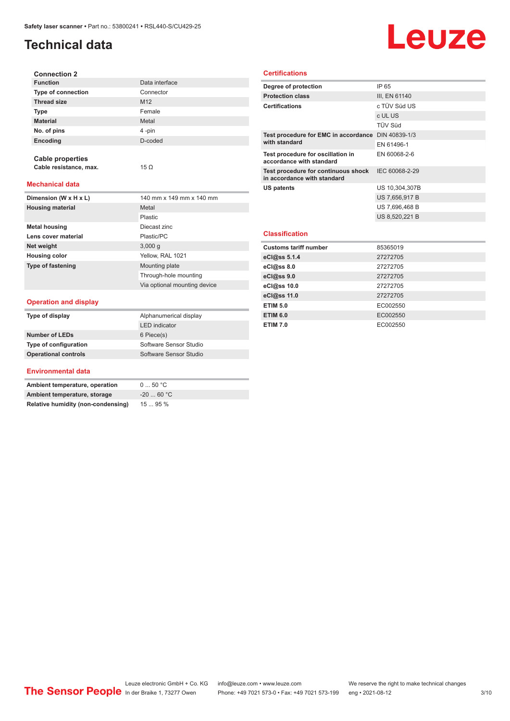# **Technical data**

# Leuze

| <b>Connection 2</b>       |                 |
|---------------------------|-----------------|
| <b>Function</b>           | Data interface  |
| <b>Type of connection</b> | Connector       |
| <b>Thread size</b>        | M <sub>12</sub> |
| <b>Type</b>               | Female          |
| <b>Material</b>           | Metal           |
| No. of pins               | 4-pin           |
| Encoding                  | D-coded         |
|                           |                 |

**Mechanical data**

**Cable properties**

**Cable resistance, max.** 15 Ω

| Dimension (W x H x L)    | 140 mm x 149 mm x 140 mm     |
|--------------------------|------------------------------|
| <b>Housing material</b>  | Metal                        |
|                          | Plastic                      |
| <b>Metal housing</b>     | Diecast zinc                 |
| Lens cover material      | Plastic/PC                   |
| Net weight               | 3,000q                       |
| <b>Housing color</b>     | Yellow, RAL 1021             |
| <b>Type of fastening</b> | Mounting plate               |
|                          | Through-hole mounting        |
|                          | Via optional mounting device |

### **Operation and display**

| Type of display             | Alphanumerical display |
|-----------------------------|------------------------|
|                             | <b>LED</b> indicator   |
| <b>Number of LEDs</b>       | 6 Piece(s)             |
| Type of configuration       | Software Sensor Studio |
| <b>Operational controls</b> | Software Sensor Studio |

### **Environmental data**

| Ambient temperature, operation     | $0 \dots 50$ °C |
|------------------------------------|-----------------|
| Ambient temperature, storage       | $-2060 °C$      |
| Relative humidity (non-condensing) | 1595%           |

### **Certifications**

| Degree of protection                                               | IP 65          |
|--------------------------------------------------------------------|----------------|
| <b>Protection class</b>                                            | III, EN 61140  |
| <b>Certifications</b>                                              | c TÜV Süd US   |
|                                                                    | c UL US        |
|                                                                    | <b>TÜV Süd</b> |
| Test procedure for EMC in accordance DIN 40839-1/3                 |                |
| with standard                                                      | EN 61496-1     |
| Test procedure for oscillation in<br>accordance with standard      | EN 60068-2-6   |
| Test procedure for continuous shock<br>in accordance with standard | IEC 60068-2-29 |
| <b>US patents</b>                                                  | US 10,304,307B |
|                                                                    | US 7,656,917 B |
|                                                                    | US 7.696.468 B |
|                                                                    | US 8,520,221 B |
|                                                                    |                |
| <b>Classification</b>                                              |                |
| <b>Customs tariff number</b>                                       | 85365019       |
| eCl@ss 5.1.4                                                       | 27272705       |
| eCl@ss 8.0                                                         | 27272705       |
| eCl@ss 9.0                                                         | 27272705       |
| eCl@ss 10.0                                                        | 27272705       |

**eCl@ss 11.0** 27272705 **ETIM 5.0** EC002550 **ETIM 6.0** EC002550 **ETIM 7.0** EC002550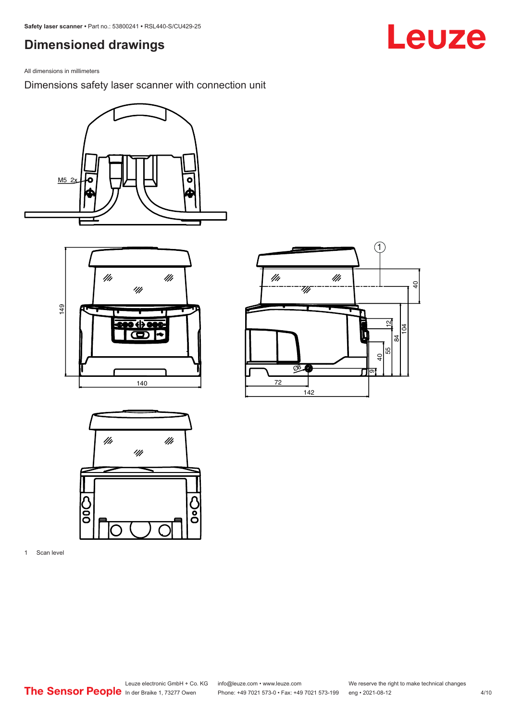# <span id="page-3-0"></span>**Dimensioned drawings**

All dimensions in millimeters

Dimensions safety laser scanner with connection unit









1 Scan level

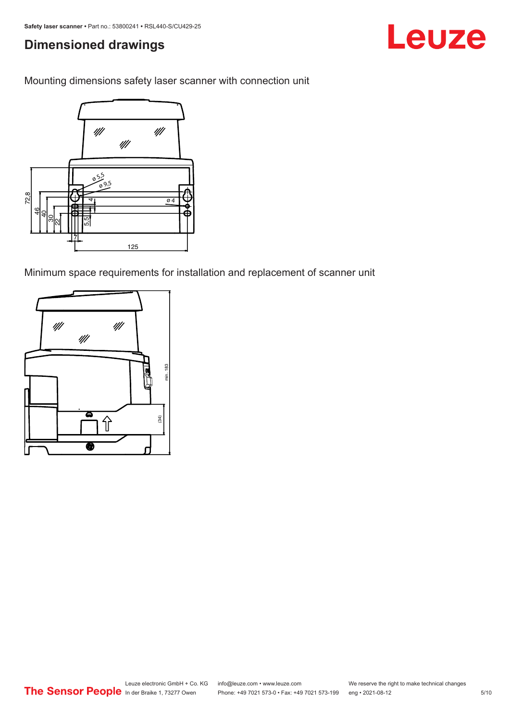# **Dimensioned drawings**

Mounting dimensions safety laser scanner with connection unit



Minimum space requirements for installation and replacement of scanner unit



Leuze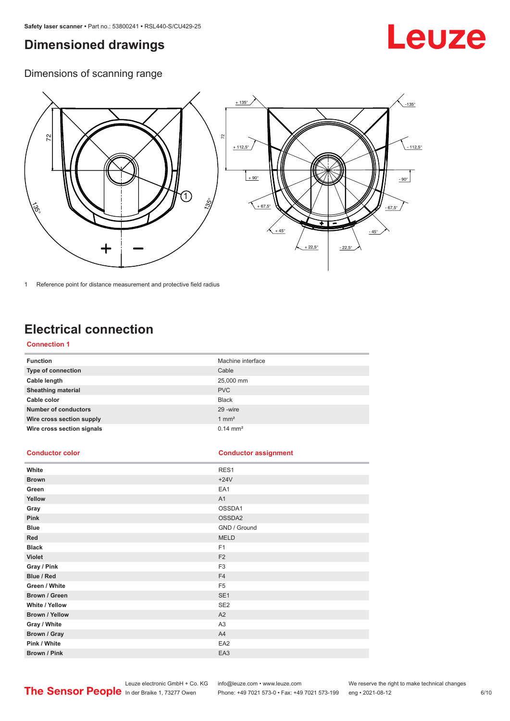# <span id="page-5-0"></span>**Dimensioned drawings**

# Leuze

Dimensions of scanning range



1 Reference point for distance measurement and protective field radius

# **Electrical connection**

### **Connection 1**

| <b>Function</b>             | Machine interface   |
|-----------------------------|---------------------|
| Type of connection          | Cable               |
| Cable length                | 25,000 mm           |
| <b>Sheathing material</b>   | <b>PVC</b>          |
| Cable color                 | <b>Black</b>        |
| <b>Number of conductors</b> | 29 - wire           |
| Wire cross section supply   | $1 \text{ mm}^2$    |
| Wire cross section signals  | $0.14 \text{ mm}^2$ |

### **Conductor color Conductor assignment**

| White                 | RES1            |
|-----------------------|-----------------|
| <b>Brown</b>          | $+24V$          |
| Green                 | EA1             |
| Yellow                | A1              |
| Gray                  | OSSDA1          |
| Pink                  | OSSDA2          |
| <b>Blue</b>           | GND / Ground    |
| Red                   | <b>MELD</b>     |
| <b>Black</b>          | F <sub>1</sub>  |
| <b>Violet</b>         | F <sub>2</sub>  |
| Gray / Pink           | F <sub>3</sub>  |
| Blue / Red            | F <sub>4</sub>  |
| Green / White         | F <sub>5</sub>  |
| Brown / Green         | SE <sub>1</sub> |
| White / Yellow        | SE <sub>2</sub> |
| <b>Brown / Yellow</b> | A2              |
| Gray / White          | A <sub>3</sub>  |
| Brown / Gray          | A4              |
| Pink / White          | EA <sub>2</sub> |
| Brown / Pink          | EA3             |

Leuze electronic GmbH + Co. KG info@leuze.com • www.leuze.com We reserve the right to make technical changes In der Braike 1, 73277 Owen Phone: +49 7021 573-0 • Fax: +49 7021 573-199 eng • 2021-08-12 6 /10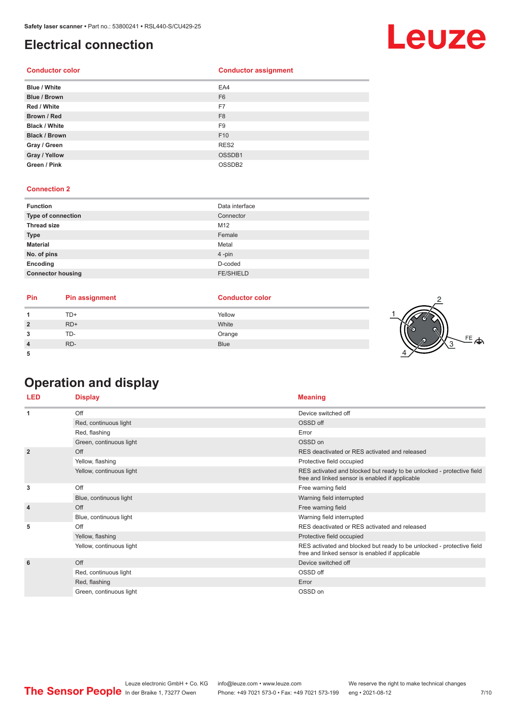# <span id="page-6-0"></span>**Electrical connection**

### **Conductor color Conductor assignment**

| <b>Blue / White</b>  | EA4                |
|----------------------|--------------------|
| <b>Blue / Brown</b>  | F <sub>6</sub>     |
| Red / White          | F7                 |
| Brown / Red          | F <sub>8</sub>     |
| <b>Black / White</b> | F <sub>9</sub>     |
| <b>Black / Brown</b> | F <sub>10</sub>    |
| Gray / Green         | RES <sub>2</sub>   |
| Gray / Yellow        | OSSDB1             |
| Green / Pink         | OSSDB <sub>2</sub> |

### **Connection 2**

| <b>Function</b>          | Data interface   |
|--------------------------|------------------|
| Type of connection       | Connector        |
| <b>Thread size</b>       | M12              |
| <b>Type</b>              | Female           |
| <b>Material</b>          | Metal            |
| No. of pins              | $4$ -pin         |
| Encoding                 | D-coded          |
| <b>Connector housing</b> | <b>FE/SHIELD</b> |

| Pin | <b>Pin assignment</b> | <b>Conductor color</b> |  |
|-----|-----------------------|------------------------|--|
|     | TD+                   | Yellow                 |  |
| ຳ   | $RD+$                 | White                  |  |
| ິ   | TD-                   | Orange                 |  |
|     | RD-                   | <b>Blue</b>            |  |
|     |                       |                        |  |

# **Operation and display**

| <b>LED</b>     | <b>Display</b>           | <b>Meaning</b>                                                                                                           |
|----------------|--------------------------|--------------------------------------------------------------------------------------------------------------------------|
| 1              | Off                      | Device switched off                                                                                                      |
|                | Red, continuous light    | OSSD off                                                                                                                 |
|                | Red, flashing            | Error                                                                                                                    |
|                | Green, continuous light  | OSSD on                                                                                                                  |
| $\overline{2}$ | Off                      | RES deactivated or RES activated and released                                                                            |
|                | Yellow, flashing         | Protective field occupied                                                                                                |
|                | Yellow, continuous light | RES activated and blocked but ready to be unlocked - protective field<br>free and linked sensor is enabled if applicable |
| 3              | Off                      | Free warning field                                                                                                       |
|                | Blue, continuous light   | Warning field interrupted                                                                                                |
| $\overline{4}$ | Off                      | Free warning field                                                                                                       |
|                | Blue, continuous light   | Warning field interrupted                                                                                                |
| 5              | Off                      | RES deactivated or RES activated and released                                                                            |
|                | Yellow, flashing         | Protective field occupied                                                                                                |
|                | Yellow, continuous light | RES activated and blocked but ready to be unlocked - protective field<br>free and linked sensor is enabled if applicable |
| 6              | Off                      | Device switched off                                                                                                      |
|                | Red, continuous light    | OSSD off                                                                                                                 |
|                | Red, flashing            | Error                                                                                                                    |
|                | Green, continuous light  | OSSD on                                                                                                                  |



FE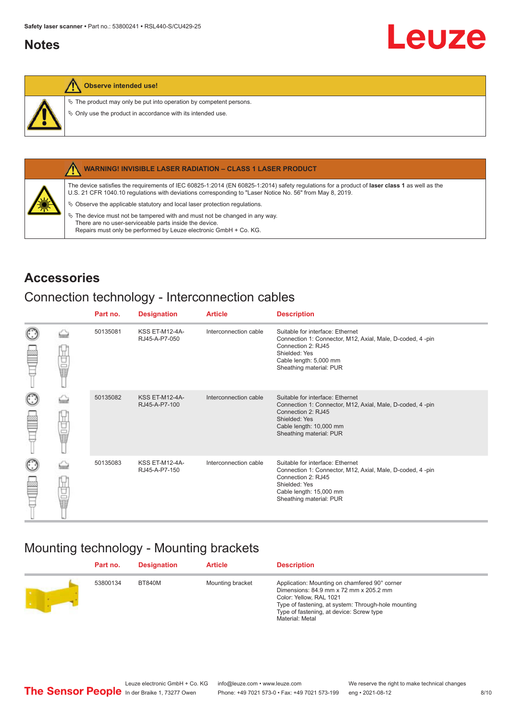# <span id="page-7-0"></span>**Notes**

### **Observe intended use!**

 $\&$  The product may only be put into operation by competent persons.

 $\%$  Only use the product in accordance with its intended use.



### **WARNING! INVISIBLE LASER RADIATION – CLASS 1 LASER PRODUCT**

The device satisfies the requirements of IEC 60825-1:2014 (EN 60825-1:2014) safety regulations for a product of **laser class 1** as well as the U.S. 21 CFR 1040.10 regulations with deviations corresponding to "Laser Notice No. 56" from May 8, 2019.

 $\&$  Observe the applicable statutory and local laser protection regulations.

 $\%$  The device must not be tampered with and must not be changed in any way. There are no user-serviceable parts inside the device. Repairs must only be performed by Leuze electronic GmbH + Co. KG.

## **Accessories**

## Connection technology - Interconnection cables

|                      |    | Part no. | <b>Designation</b>                     | <b>Article</b>        | <b>Description</b>                                                                                                                                                                         |
|----------------------|----|----------|----------------------------------------|-----------------------|--------------------------------------------------------------------------------------------------------------------------------------------------------------------------------------------|
| $_{\odot}$           | Ū  | 50135081 | <b>KSS ET-M12-4A-</b><br>RJ45-A-P7-050 | Interconnection cable | Suitable for interface: Ethernet<br>Connection 1: Connector, M12, Axial, Male, D-coded, 4-pin<br>Connection 2: RJ45<br>Shielded: Yes<br>Cable length: 5,000 mm<br>Sheathing material: PUR  |
| $_{\bigodot}$<br>œ   | 甘量 | 50135082 | <b>KSS ET-M12-4A-</b><br>RJ45-A-P7-100 | Interconnection cable | Suitable for interface: Ethernet<br>Connection 1: Connector, M12, Axial, Male, D-coded, 4-pin<br>Connection 2: RJ45<br>Shielded: Yes<br>Cable length: 10,000 mm<br>Sheathing material: PUR |
| $_{\mathbb{C}}$<br>œ | 甘晶 | 50135083 | <b>KSS ET-M12-4A-</b><br>RJ45-A-P7-150 | Interconnection cable | Suitable for interface: Ethernet<br>Connection 1: Connector, M12, Axial, Male, D-coded, 4-pin<br>Connection 2: RJ45<br>Shielded: Yes<br>Cable length: 15,000 mm<br>Sheathing material: PUR |

# Mounting technology - Mounting brackets

| Part no. | <b>Designation</b> | <b>Article</b>   | <b>Description</b>                                                                                                                                                                                                                       |
|----------|--------------------|------------------|------------------------------------------------------------------------------------------------------------------------------------------------------------------------------------------------------------------------------------------|
| 53800134 | <b>BT840M</b>      | Mounting bracket | Application: Mounting on chamfered 90° corner<br>Dimensions: 84.9 mm x 72 mm x 205.2 mm<br>Color: Yellow, RAL 1021<br>Type of fastening, at system: Through-hole mounting<br>Type of fastening, at device: Screw type<br>Material: Metal |

Leuze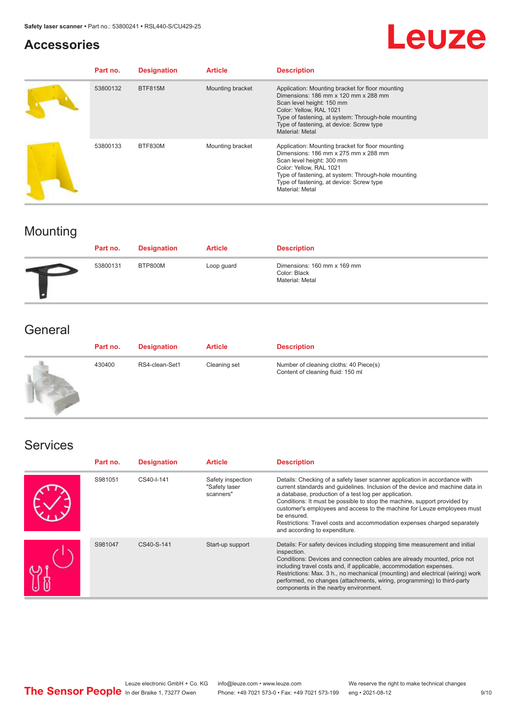## **Accessories**

# Leuze

| Part no. | <b>Designation</b> | <b>Article</b>   | <b>Description</b>                                                                                                                                                                                                                                                            |
|----------|--------------------|------------------|-------------------------------------------------------------------------------------------------------------------------------------------------------------------------------------------------------------------------------------------------------------------------------|
| 53800132 | <b>BTF815M</b>     | Mounting bracket | Application: Mounting bracket for floor mounting<br>Dimensions: 186 mm x 120 mm x 288 mm<br>Scan level height: 150 mm<br>Color: Yellow, RAL 1021<br>Type of fastening, at system: Through-hole mounting<br>Type of fastening, at device: Screw type<br><b>Material: Metal</b> |
| 53800133 | BTF830M            | Mounting bracket | Application: Mounting bracket for floor mounting<br>Dimensions: 186 mm x 275 mm x 288 mm<br>Scan level height: 300 mm<br>Color: Yellow, RAL 1021<br>Type of fastening, at system: Through-hole mounting<br>Type of fastening, at device: Screw type<br><b>Material: Metal</b> |

# Mounting

| Part no. | <b>Designation</b> | <b>Article</b> | <b>Description</b>                                             |
|----------|--------------------|----------------|----------------------------------------------------------------|
| 53800131 | BTP800M            | Loop guard     | Dimensions: 160 mm x 169 mm<br>Color: Black<br>Material: Metal |

# **General**

| Part no. | <b>Designation</b> | <b>Article</b> | <b>Description</b>                                                          |
|----------|--------------------|----------------|-----------------------------------------------------------------------------|
| 430400   | RS4-clean-Set1     | Cleaning set   | Number of cleaning cloths: 40 Piece(s)<br>Content of cleaning fluid: 150 ml |

# Services

| Part no. | <b>Designation</b> | <b>Article</b>                                  | <b>Description</b>                                                                                                                                                                                                                                                                                                                                                                                                                                                                                      |
|----------|--------------------|-------------------------------------------------|---------------------------------------------------------------------------------------------------------------------------------------------------------------------------------------------------------------------------------------------------------------------------------------------------------------------------------------------------------------------------------------------------------------------------------------------------------------------------------------------------------|
| S981051  | CS40-I-141         | Safety inspection<br>"Safety laser<br>scanners" | Details: Checking of a safety laser scanner application in accordance with<br>current standards and quidelines. Inclusion of the device and machine data in<br>a database, production of a test log per application.<br>Conditions: It must be possible to stop the machine, support provided by<br>customer's employees and access to the machine for Leuze employees must<br>be ensured.<br>Restrictions: Travel costs and accommodation expenses charged separately<br>and according to expenditure. |
| S981047  | CS40-S-141         | Start-up support                                | Details: For safety devices including stopping time measurement and initial<br>inspection.<br>Conditions: Devices and connection cables are already mounted, price not<br>including travel costs and, if applicable, accommodation expenses.<br>Restrictions: Max. 3 h., no mechanical (mounting) and electrical (wiring) work<br>performed, no changes (attachments, wiring, programming) to third-party<br>components in the nearby environment.                                                      |